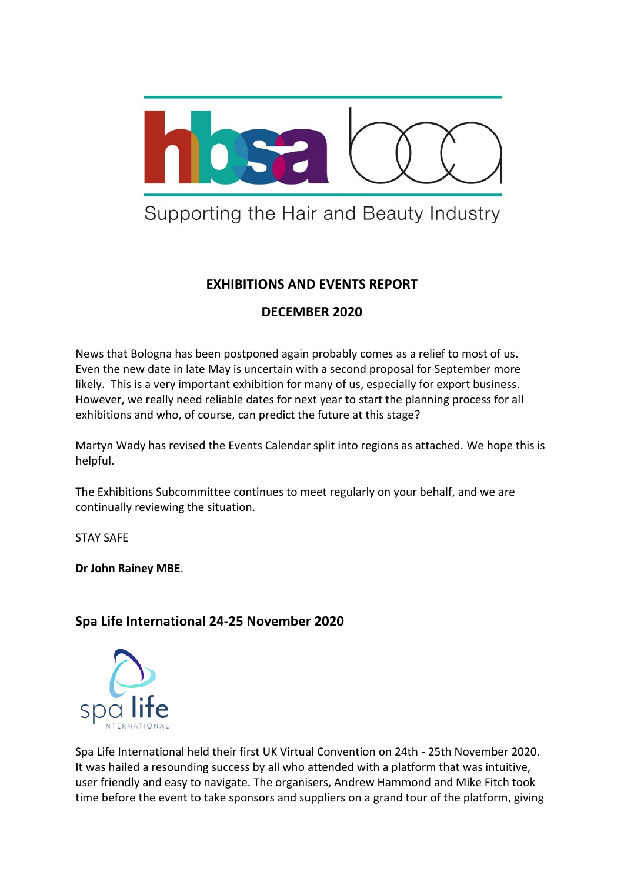

# Supporting the Hair and Beauty Industry

# **EXHIBITIONS AND EVENTS REPORT**

# **DECEMBER 2020**

News that Bologna has been postponed again probably comes as a relief to most of us. Even the new date in late May is uncertain with a second proposal for September more likely. This is a very important exhibition for many of us, especially for export business. However, we really need reliable dates for next year to start the planning process for all exhibitions and who, of course, can predict the future at this stage?

Martyn Wady has revised the Events Calendar split into regions as attached. We hope this is helpful.

The Exhibitions Subcommittee continues to meet regularly on your behalf, and we are continually reviewing the situation.

STAY SAFE

**Dr John Rainey MBE**.

# **Spa Life International 24-25 November 2020**



Spa Life International held their first UK Virtual Convention on 24th - 25th November 2020. It was hailed a resounding success by all who attended with a platform that was intuitive, user friendly and easy to navigate. The organisers, Andrew Hammond and Mike Fitch took time before the event to take sponsors and suppliers on a grand tour of the platform, giving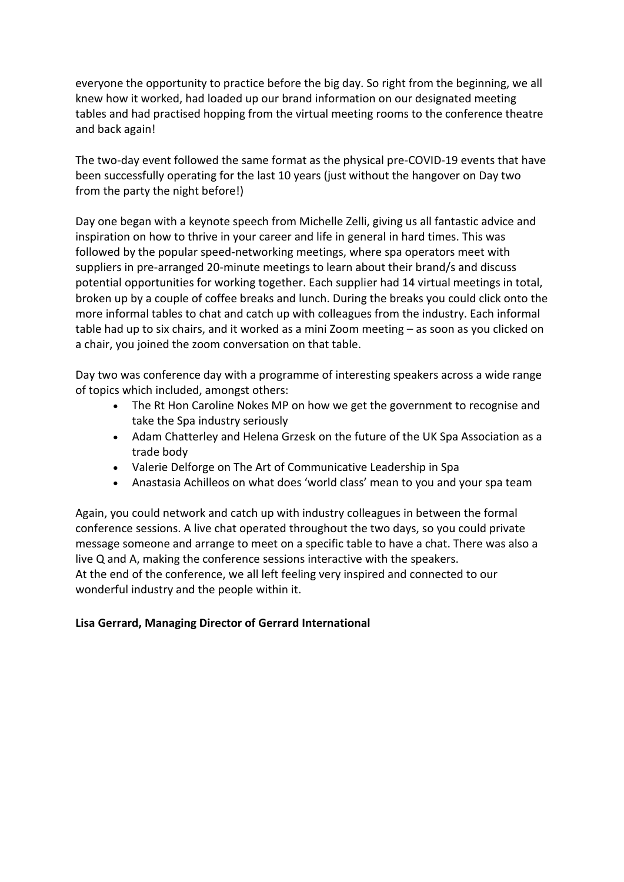everyone the opportunity to practice before the big day. So right from the beginning, we all knew how it worked, had loaded up our brand information on our designated meeting tables and had practised hopping from the virtual meeting rooms to the conference theatre and back again!

The two-day event followed the same format as the physical pre-COVID-19 events that have been successfully operating for the last 10 years (just without the hangover on Day two from the party the night before!)

Day one began with a keynote speech from Michelle Zelli, giving us all fantastic advice and inspiration on how to thrive in your career and life in general in hard times. This was followed by the popular speed-networking meetings, where spa operators meet with suppliers in pre-arranged 20-minute meetings to learn about their brand/s and discuss potential opportunities for working together. Each supplier had 14 virtual meetings in total, broken up by a couple of coffee breaks and lunch. During the breaks you could click onto the more informal tables to chat and catch up with colleagues from the industry. Each informal table had up to six chairs, and it worked as a mini Zoom meeting – as soon as you clicked on a chair, you joined the zoom conversation on that table.

Day two was conference day with a programme of interesting speakers across a wide range of topics which included, amongst others:

- The Rt Hon Caroline Nokes MP on how we get the government to recognise and take the Spa industry seriously
- Adam Chatterley and Helena Grzesk on the future of the UK Spa Association as a trade body
- Valerie Delforge on The Art of Communicative Leadership in Spa
- Anastasia Achilleos on what does 'world class' mean to you and your spa team

Again, you could network and catch up with industry colleagues in between the formal conference sessions. A live chat operated throughout the two days, so you could private message someone and arrange to meet on a specific table to have a chat. There was also a live Q and A, making the conference sessions interactive with the speakers. At the end of the conference, we all left feeling very inspired and connected to our wonderful industry and the people within it.

#### **Lisa Gerrard, Managing Director of Gerrard International**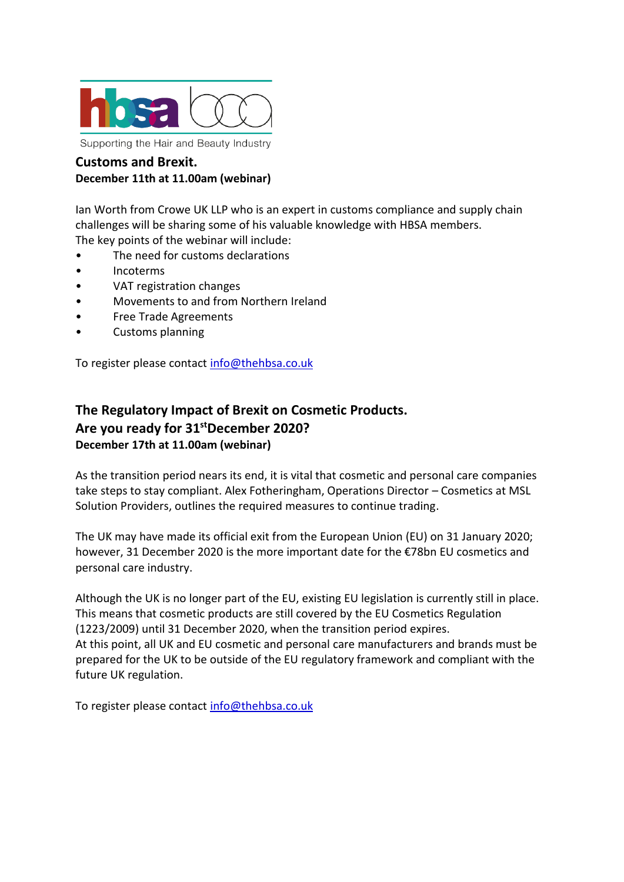

#### **Customs and Brexit. December 11th at 11.00am (webinar)**

Ian Worth from Crowe UK LLP who is an expert in customs compliance and supply chain challenges will be sharing some of his valuable knowledge with HBSA members. The key points of the webinar will include:

- The need for customs declarations
- Incoterms
- VAT registration changes
- Movements to and from Northern Ireland
- Free Trade Agreements
- Customs planning

To register please contact [info@thehbsa.co.uk](mailto:info@thehbsa.co.uk)

# **The Regulatory Impact of Brexit on Cosmetic Products. Are you ready for 31stDecember 2020? December 17th at 11.00am (webinar)**

As the transition period nears its end, it is vital that cosmetic and personal care companies take steps to stay compliant. Alex Fotheringham, Operations Director – Cosmetics at MSL Solution Providers, outlines the required measures to continue trading.

The UK may have made its official exit from the European Union (EU) on 31 January 2020; however, 31 December 2020 is the more important date for the €78bn EU cosmetics and personal care industry.

Although the UK is no longer part of the EU, existing EU legislation is currently still in place. This means that cosmetic products are still covered by the EU Cosmetics Regulation (1223/2009) until 31 December 2020, when the transition period expires. At this point, all UK and EU cosmetic and personal care manufacturers and brands must be prepared for the UK to be outside of the EU regulatory framework and compliant with the future UK regulation.

To register please contact [info@thehbsa.co.uk](mailto:info@thehbsa.co.uk)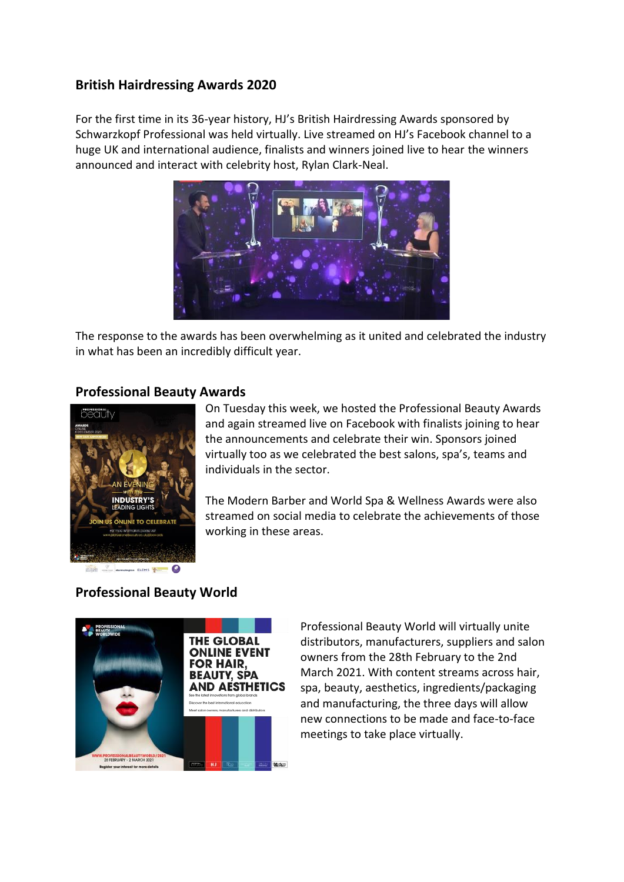### **British Hairdressing Awards 2020**

For the first time in its 36-year history, HJ's British Hairdressing Awards sponsored by Schwarzkopf Professional was held virtually. Live streamed on HJ's Facebook channel to a huge UK and international audience, finalists and winners joined live to hear the winners announced and interact with celebrity host, Rylan Clark-Neal.



The response to the awards has been overwhelming as it united and celebrated the industry in what has been an incredibly difficult year.

#### **Professional Beauty Awards**



On Tuesday this week, we hosted the Professional Beauty Awards and again streamed live on Facebook with finalists joining to hear the announcements and celebrate their win. Sponsors joined virtually too as we celebrated the best salons, spa's, teams and individuals in the sector.

The Modern Barber and World Spa & Wellness Awards were also streamed on social media to celebrate the achievements of those working in these areas.



# **Professional Beauty World**

Professional Beauty World will virtually unite distributors, manufacturers, suppliers and salon owners from the 28th February to the 2nd March 2021. With content streams across hair, spa, beauty, aesthetics, ingredients/packaging and manufacturing, the three days will allow new connections to be made and face-to-face meetings to take place virtually.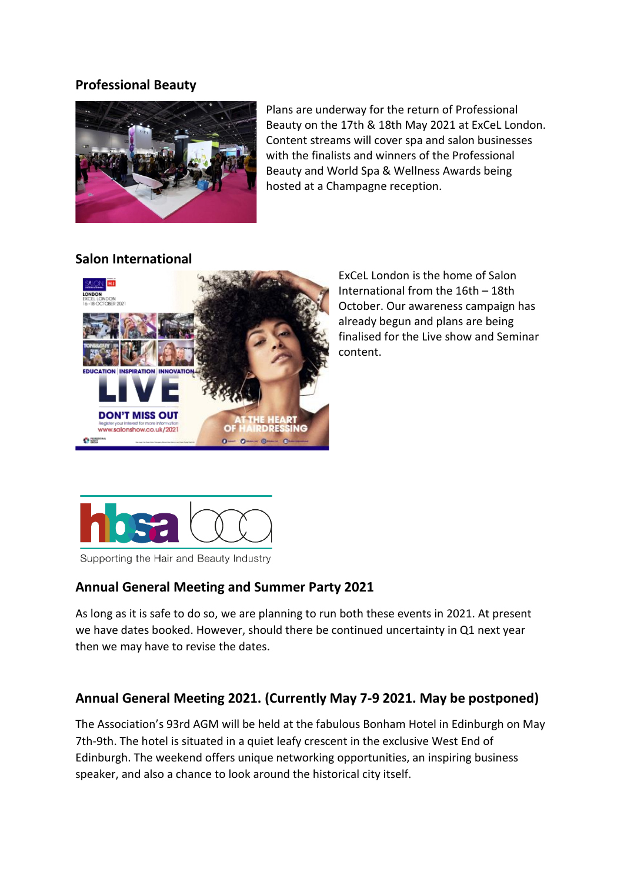#### **Professional Beauty**



Plans are underway for the return of Professional Beauty on the 17th & 18th May 2021 at ExCeL London. Content streams will cover spa and salon businesses with the finalists and winners of the Professional Beauty and World Spa & Wellness Awards being hosted at a Champagne reception.

### **Salon International**



ExCeL London is the home of Salon International from the 16th – 18th October. Our awareness campaign has already begun and plans are being finalised for the Live show and Seminar content.



Supporting the Hair and Beauty Industry

# **Annual General Meeting and Summer Party 2021**

As long as it is safe to do so, we are planning to run both these events in 2021. At present we have dates booked. However, should there be continued uncertainty in Q1 next year then we may have to revise the dates.

# **Annual General Meeting 2021. (Currently May 7-9 2021. May be postponed)**

The Association's 93rd AGM will be held at the fabulous Bonham Hotel in Edinburgh on May 7th-9th. The hotel is situated in a quiet leafy crescent in the exclusive West End of Edinburgh. The weekend offers unique networking opportunities, an inspiring business speaker, and also a chance to look around the historical city itself.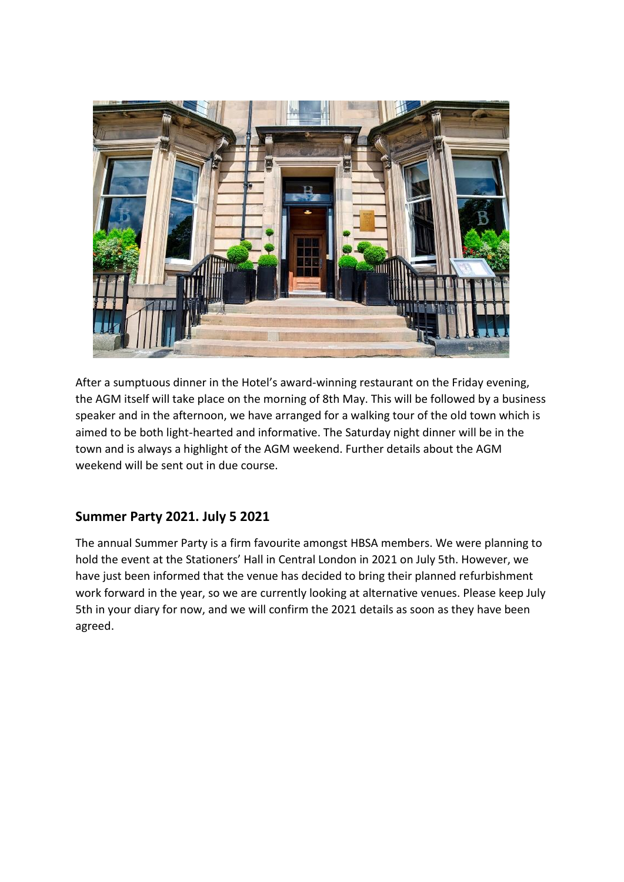

After a sumptuous dinner in the Hotel's award-winning restaurant on the Friday evening, the AGM itself will take place on the morning of 8th May. This will be followed by a business speaker and in the afternoon, we have arranged for a walking tour of the old town which is aimed to be both light-hearted and informative. The Saturday night dinner will be in the town and is always a highlight of the AGM weekend. Further details about the AGM weekend will be sent out in due course.

# **Summer Party 2021. July 5 2021**

The annual Summer Party is a firm favourite amongst HBSA members. We were planning to hold the event at the Stationers' Hall in Central London in 2021 on July 5th. However, we have just been informed that the venue has decided to bring their planned refurbishment work forward in the year, so we are currently looking at alternative venues. Please keep July 5th in your diary for now, and we will confirm the 2021 details as soon as they have been agreed.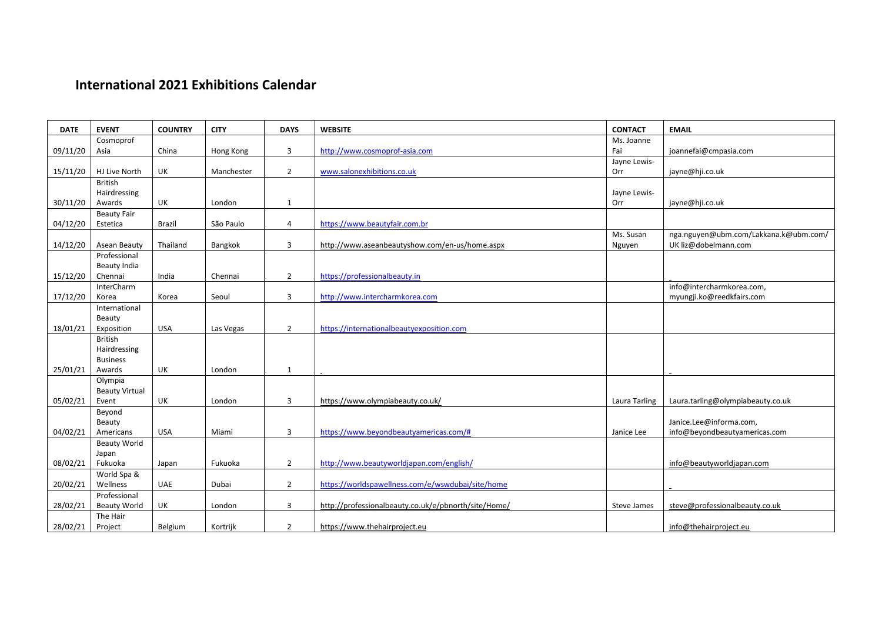# **International 2021 Exhibitions Calendar**

| <b>DATE</b> | <b>EVENT</b>                   | <b>COUNTRY</b> | <b>CITY</b> | <b>DAYS</b>    | <b>WEBSITE</b>                                       | <b>CONTACT</b>     | <b>EMAIL</b>                          |
|-------------|--------------------------------|----------------|-------------|----------------|------------------------------------------------------|--------------------|---------------------------------------|
|             | Cosmoprof                      |                |             |                |                                                      | Ms. Joanne         |                                       |
| 09/11/20    | Asia                           | China          | Hong Kong   | 3              | http://www.cosmoprof-asia.com                        | Fai                | joannefai@cmpasia.com                 |
|             |                                |                |             |                |                                                      | Jayne Lewis-       |                                       |
| 15/11/20    | HJ Live North                  | UK             | Manchester  | $\overline{2}$ | www.salonexhibitions.co.uk                           | Orr                | jayne@hji.co.uk                       |
|             | <b>British</b><br>Hairdressing |                |             |                |                                                      | Jayne Lewis-       |                                       |
| 30/11/20    | Awards                         | UK             | London      | $\mathbf{1}$   |                                                      | Orr                | jayne@hji.co.uk                       |
|             | <b>Beauty Fair</b>             |                |             |                |                                                      |                    |                                       |
| 04/12/20    | Estetica                       | Brazil         | São Paulo   | $\overline{4}$ | https://www.beautyfair.com.br                        |                    |                                       |
|             |                                |                |             |                |                                                      | Ms. Susan          | nga.nguyen@ubm.com/Lakkana.k@ubm.com/ |
| 14/12/20    | Asean Beauty                   | Thailand       | Bangkok     | 3              | http://www.aseanbeautyshow.com/en-us/home.aspx       | Nguyen             | UK liz@dobelmann.com                  |
|             | Professional                   |                |             |                |                                                      |                    |                                       |
|             | Beauty India                   |                |             |                |                                                      |                    |                                       |
| 15/12/20    | Chennai                        | India          | Chennai     | $\overline{2}$ | https://professionalbeauty.in                        |                    |                                       |
|             | InterCharm                     |                |             |                |                                                      |                    | info@intercharmkorea.com,             |
| 17/12/20    | Korea<br>International         | Korea          | Seoul       | 3              | http://www.intercharmkorea.com                       |                    | myungji.ko@reedkfairs.com             |
|             | Beauty                         |                |             |                |                                                      |                    |                                       |
| 18/01/21    | Exposition                     | <b>USA</b>     | Las Vegas   | $\overline{2}$ | https://internationalbeautyexposition.com            |                    |                                       |
|             | <b>British</b>                 |                |             |                |                                                      |                    |                                       |
|             | Hairdressing                   |                |             |                |                                                      |                    |                                       |
|             | <b>Business</b>                |                |             |                |                                                      |                    |                                       |
| 25/01/21    | Awards                         | UK             | London      | $\mathbf{1}$   |                                                      |                    |                                       |
|             | Olympia                        |                |             |                |                                                      |                    |                                       |
|             | <b>Beauty Virtual</b>          |                |             |                |                                                      |                    |                                       |
| 05/02/21    | Event                          | UK             | London      | $\overline{3}$ | https://www.olympiabeauty.co.uk/                     | Laura Tarling      | Laura.tarling@olympiabeauty.co.uk     |
|             | Beyond<br>Beauty               |                |             |                |                                                      |                    | Janice.Lee@informa.com,               |
| 04/02/21    | Americans                      | <b>USA</b>     | Miami       | 3              | https://www.beyondbeautyamericas.com/#               | Janice Lee         | info@beyondbeautyamericas.com         |
|             | <b>Beauty World</b>            |                |             |                |                                                      |                    |                                       |
|             | Japan                          |                |             |                |                                                      |                    |                                       |
| 08/02/21    | Fukuoka                        | Japan          | Fukuoka     | $\overline{2}$ | http://www.beautyworldjapan.com/english/             |                    | info@beautyworldjapan.com             |
|             | World Spa &                    |                |             |                |                                                      |                    |                                       |
| 20/02/21    | Wellness                       | <b>UAE</b>     | Dubai       | $2^{\circ}$    | https://worldspawellness.com/e/wswdubai/site/home    |                    |                                       |
|             | Professional                   |                |             |                |                                                      |                    |                                       |
| 28/02/21    | <b>Beauty World</b>            | UK             | London      | 3              | http://professionalbeauty.co.uk/e/pbnorth/site/Home/ | <b>Steve James</b> | steve@professionalbeauty.co.uk        |
|             | The Hair                       |                |             |                |                                                      |                    |                                       |
| 28/02/21    | Project                        | Belgium        | Kortrijk    | $\overline{2}$ | https://www.thehairproject.eu                        |                    | info@thehairproject.eu                |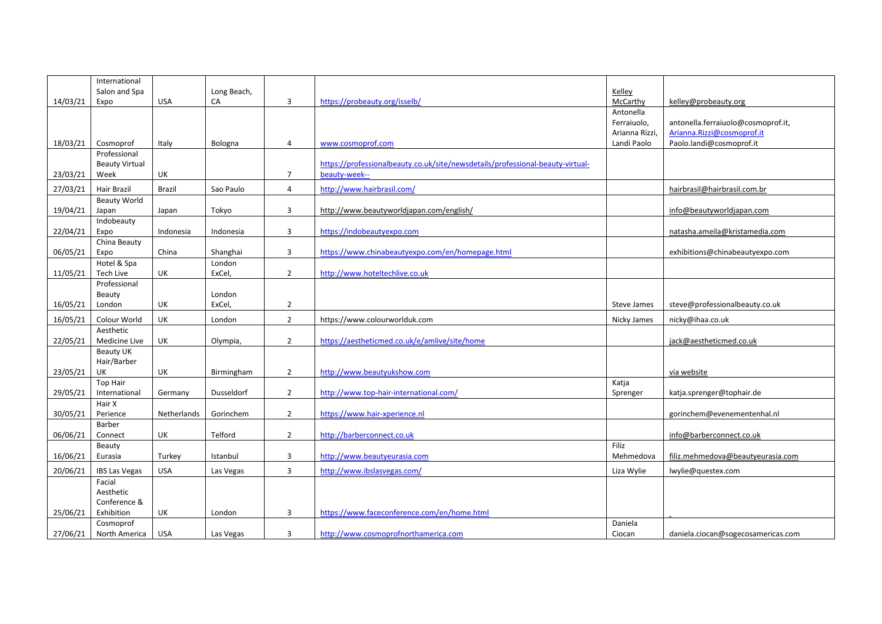|          | International         |               |             |                |                                                                                |                |                                    |
|----------|-----------------------|---------------|-------------|----------------|--------------------------------------------------------------------------------|----------------|------------------------------------|
|          | Salon and Spa         |               | Long Beach, |                |                                                                                | Kelley         |                                    |
| 14/03/21 | Expo                  | <b>USA</b>    | CA          | 3              | https://probeauty.org/isselb/                                                  | McCarthy       | kelley@probeauty.org               |
|          |                       |               |             |                |                                                                                | Antonella      |                                    |
|          |                       |               |             |                |                                                                                | Ferraiuolo,    | antonella.ferraiuolo@cosmoprof.it, |
|          |                       |               |             |                |                                                                                | Arianna Rizzi, | Arianna.Rizzi@cosmoprof.it         |
| 18/03/21 | Cosmoprof             | Italy         | Bologna     | $\overline{4}$ | www.cosmoprof.com                                                              | Landi Paolo    | Paolo.landi@cosmoprof.it           |
|          | Professional          |               |             |                |                                                                                |                |                                    |
|          | <b>Beauty Virtual</b> |               |             |                | https://professionalbeauty.co.uk/site/newsdetails/professional-beauty-virtual- |                |                                    |
| 23/03/21 | Week                  | UK            |             | $\overline{7}$ | beauty-week--                                                                  |                |                                    |
| 27/03/21 | <b>Hair Brazil</b>    | <b>Brazil</b> | Sao Paulo   | 4              | http://www.hairbrasil.com/                                                     |                | hairbrasil@hairbrasil.com.br       |
|          | <b>Beauty World</b>   |               |             |                |                                                                                |                |                                    |
| 19/04/21 | Japan                 | Japan         | Tokyo       | 3              | http://www.beautyworldjapan.com/english/                                       |                | info@beautyworldjapan.com          |
|          | Indobeauty            |               |             |                |                                                                                |                |                                    |
| 22/04/21 | Expo                  | Indonesia     | Indonesia   | 3              | https://indobeautyexpo.com                                                     |                | natasha.ameila@kristamedia.com     |
|          | China Beauty          |               |             |                |                                                                                |                |                                    |
| 06/05/21 | Expo                  | China         | Shanghai    | $\overline{3}$ | https://www.chinabeautyexpo.com/en/homepage.html                               |                | exhibitions@chinabeautyexpo.com    |
|          | Hotel & Spa           |               | London      |                |                                                                                |                |                                    |
| 11/05/21 | Tech Live             | UK            | ExCel,      | $\overline{2}$ | http://www.hoteltechlive.co.uk                                                 |                |                                    |
|          | Professional          |               |             |                |                                                                                |                |                                    |
|          | Beauty                |               | London      |                |                                                                                |                |                                    |
| 16/05/21 | London                | <b>UK</b>     | ExCel,      | $\overline{2}$ |                                                                                | Steve James    | steve@professionalbeauty.co.uk     |
| 16/05/21 | Colour World          | UK            | London      | $\overline{2}$ | https://www.colourworlduk.com                                                  | Nicky James    | nicky@ihaa.co.uk                   |
|          | Aesthetic             |               |             |                |                                                                                |                |                                    |
| 22/05/21 | Medicine Live         | UK            | Olympia,    | $\overline{2}$ | https://aestheticmed.co.uk/e/amlive/site/home                                  |                | jack@aestheticmed.co.uk            |
|          | <b>Beauty UK</b>      |               |             |                |                                                                                |                |                                    |
|          | Hair/Barber           |               |             |                |                                                                                |                |                                    |
| 23/05/21 | UK                    | UK            | Birmingham  | $\overline{2}$ | http://www.beautyukshow.com                                                    |                | via website                        |
|          | <b>Top Hair</b>       |               |             |                |                                                                                | Katja          |                                    |
| 29/05/21 | International         | Germany       | Dusseldorf  | $\overline{2}$ | http://www.top-hair-international.com/                                         | Sprenger       | katja.sprenger@tophair.de          |
|          | Hair X                |               |             |                |                                                                                |                |                                    |
| 30/05/21 | Perience              | Netherlands   | Gorinchem   | $\overline{2}$ | https://www.hair-xperience.nl                                                  |                | gorinchem@evenementenhal.nl        |
|          | Barber                |               |             |                |                                                                                |                |                                    |
| 06/06/21 | Connect               | UK            | Telford     | $\overline{2}$ | http://barberconnect.co.uk                                                     |                | info@barberconnect.co.uk           |
|          | Beauty                |               |             |                |                                                                                | Filiz          |                                    |
| 16/06/21 | Eurasia               | Turkey        | Istanbul    | $\overline{3}$ | http://www.beautyeurasia.com                                                   | Mehmedova      | filiz.mehmedova@beautyeurasia.com  |
| 20/06/21 | <b>IBS Las Vegas</b>  | <b>USA</b>    | Las Vegas   | 3              | http://www.ibslasvegas.com/                                                    | Liza Wylie     | lwylie@questex.com                 |
|          | Facial                |               |             |                |                                                                                |                |                                    |
|          | Aesthetic             |               |             |                |                                                                                |                |                                    |
|          | Conference &          |               |             |                |                                                                                |                |                                    |
| 25/06/21 | Exhibition            | UK            | London      | 3              | https://www.faceconference.com/en/home.html                                    |                |                                    |
|          | Cosmoprof             |               |             |                |                                                                                | Daniela        |                                    |
| 27/06/21 | North America         | <b>USA</b>    | Las Vegas   | 3              | http://www.cosmoprofnorthamerica.com                                           | Ciocan         | daniela.ciocan@sogecosamericas.com |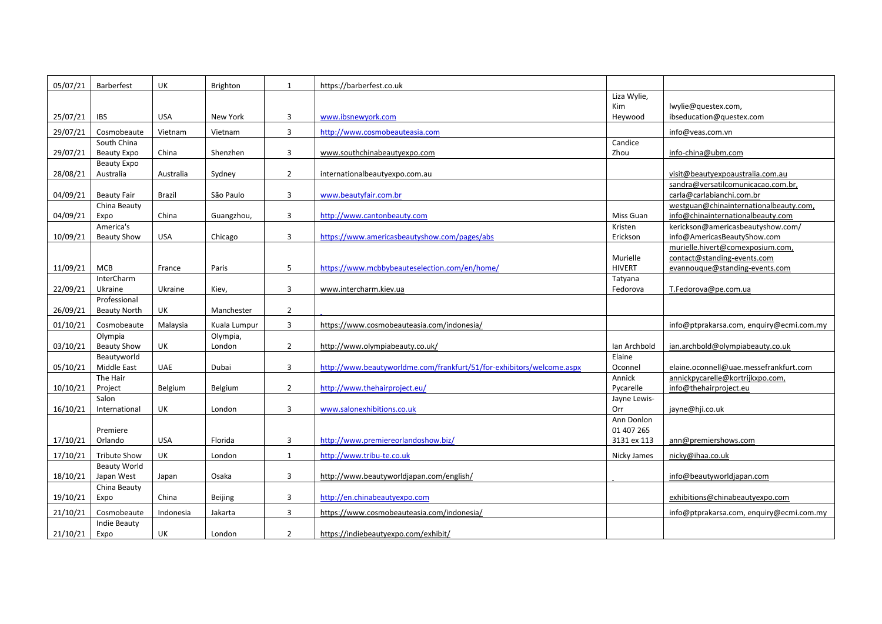| 05/07/21 | Barberfest                      | UK         | Brighton     | $\mathbf{1}$   | https://barberfest.co.uk                                              |                     |                                                                 |
|----------|---------------------------------|------------|--------------|----------------|-----------------------------------------------------------------------|---------------------|-----------------------------------------------------------------|
|          |                                 |            |              |                |                                                                       | Liza Wylie,         |                                                                 |
|          |                                 |            |              |                |                                                                       | <b>Kim</b>          | lwylie@questex.com,                                             |
| 25/07/21 | <b>IBS</b>                      | <b>USA</b> | New York     | 3              | www.ibsnewyork.com                                                    | Heywood             | ibseducation@questex.com                                        |
| 29/07/21 | Cosmobeaute                     | Vietnam    | Vietnam      | $\overline{3}$ | http://www.cosmobeauteasia.com                                        |                     | info@veas.com.vn                                                |
|          | South China                     |            |              |                |                                                                       | Candice             |                                                                 |
| 29/07/21 | <b>Beauty Expo</b>              | China      | Shenzhen     | 3              | www.southchinabeautyexpo.com                                          | Zhou                | info-china@ubm.com                                              |
|          | Beauty Expo                     |            |              |                |                                                                       |                     |                                                                 |
| 28/08/21 | Australia                       | Australia  | Sydney       | $\overline{2}$ | internationalbeautyexpo.com.au                                        |                     | visit@beautyexpoaustralia.com.au                                |
|          |                                 |            |              |                |                                                                       |                     | sandra@versatilcomunicacao.com.br,                              |
| 04/09/21 | <b>Beauty Fair</b>              | Brazil     | São Paulo    | 3              | www.beautyfair.com.br                                                 |                     | carla@carlabianchi.com.br                                       |
|          | China Beauty                    |            |              |                |                                                                       |                     | westguan@chinainternationalbeauty.com,                          |
| 04/09/21 | Expo                            | China      | Guangzhou,   | 3              | http://www.cantonbeauty.com                                           | Miss Guan           | info@chinainternationalbeauty.com                               |
|          | America's<br><b>Beauty Show</b> | <b>USA</b> |              | 3              | https://www.americasbeautyshow.com/pages/abs                          | Kristen<br>Erickson | kerickson@americasbeautyshow.com/                               |
| 10/09/21 |                                 |            | Chicago      |                |                                                                       |                     | info@AmericasBeautyShow.com<br>murielle.hivert@comexposium.com, |
|          |                                 |            |              |                |                                                                       | Murielle            | contact@standing-events.com                                     |
| 11/09/21 | <b>MCB</b>                      | France     | Paris        | 5              | https://www.mcbbybeauteselection.com/en/home/                         | <b>HIVERT</b>       | evannouque@standing-events.com                                  |
|          | <b>InterCharm</b>               |            |              |                |                                                                       | Tatyana             |                                                                 |
| 22/09/21 | Ukraine                         | Ukraine    | Kiev,        | 3              | www.intercharm.kiev.ua                                                | Fedorova            | T.Fedorova@pe.com.ua                                            |
|          | Professional                    |            |              |                |                                                                       |                     |                                                                 |
| 26/09/21 | <b>Beauty North</b>             | UK         | Manchester   | $\overline{2}$ |                                                                       |                     |                                                                 |
| 01/10/21 | Cosmobeaute                     | Malaysia   | Kuala Lumpur | 3              | https://www.cosmobeauteasia.com/indonesia/                            |                     | info@ptprakarsa.com, enquiry@ecmi.com.my                        |
|          | Olympia                         |            | Olympia,     |                |                                                                       |                     |                                                                 |
| 03/10/21 | <b>Beauty Show</b>              | UK         | London       | $\overline{2}$ | http://www.olympiabeauty.co.uk/                                       | Ian Archbold        | ian.archbold@olympiabeauty.co.uk                                |
|          | Beautyworld                     |            |              |                |                                                                       | Elaine              |                                                                 |
| 05/10/21 | <b>Middle East</b>              | UAE        | Dubai        | 3              | http://www.beautyworldme.com/frankfurt/51/for-exhibitors/welcome.aspx | Oconnel             | elaine.oconnell@uae.messefrankfurt.com                          |
|          | The Hair                        |            |              |                |                                                                       | Annick              | annickpycarelle@kortrijkxpo.com,                                |
| 10/10/21 | Project                         | Belgium    | Belgium      | $\overline{2}$ | http://www.thehairproject.eu/                                         | Pycarelle           | info@thehairproject.eu                                          |
|          | Salon                           |            |              |                |                                                                       | Jayne Lewis-        |                                                                 |
| 16/10/21 | International                   | UK         | London       | $\overline{3}$ | www.salonexhibitions.co.uk                                            | Orr                 | jayne@hji.co.uk                                                 |
|          |                                 |            |              |                |                                                                       | Ann Donlon          |                                                                 |
|          | Premiere                        |            |              |                |                                                                       | 01 407 265          |                                                                 |
| 17/10/21 | Orlando                         | <b>USA</b> | Florida      | 3              | http://www.premiereorlandoshow.biz/                                   | 3131 ex 113         | ann@premiershows.com                                            |
| 17/10/21 | <b>Tribute Show</b>             | UK         | London       | $\mathbf{1}$   | http://www.tribu-te.co.uk                                             | Nicky James         | nicky@ihaa.co.uk                                                |
|          | <b>Beauty World</b>             |            |              |                |                                                                       |                     |                                                                 |
| 18/10/21 | Japan West                      | Japan      | Osaka        | $\mathbf{3}$   | http://www.beautyworldjapan.com/english/                              |                     | info@beautyworldjapan.com                                       |
|          | China Beauty                    |            |              |                |                                                                       |                     |                                                                 |
| 19/10/21 | Expo                            | China      | Beijing      | 3              | http://en.chinabeautyexpo.com                                         |                     | exhibitions@chinabeautyexpo.com                                 |
| 21/10/21 | Cosmobeaute                     | Indonesia  | Jakarta      | 3              | https://www.cosmobeauteasia.com/indonesia/                            |                     | info@ptprakarsa.com, enquiry@ecmi.com.my                        |
|          | Indie Beauty                    |            |              |                |                                                                       |                     |                                                                 |
| 21/10/21 | Expo                            | UK         | London       | $\overline{2}$ | https://indiebeautyexpo.com/exhibit/                                  |                     |                                                                 |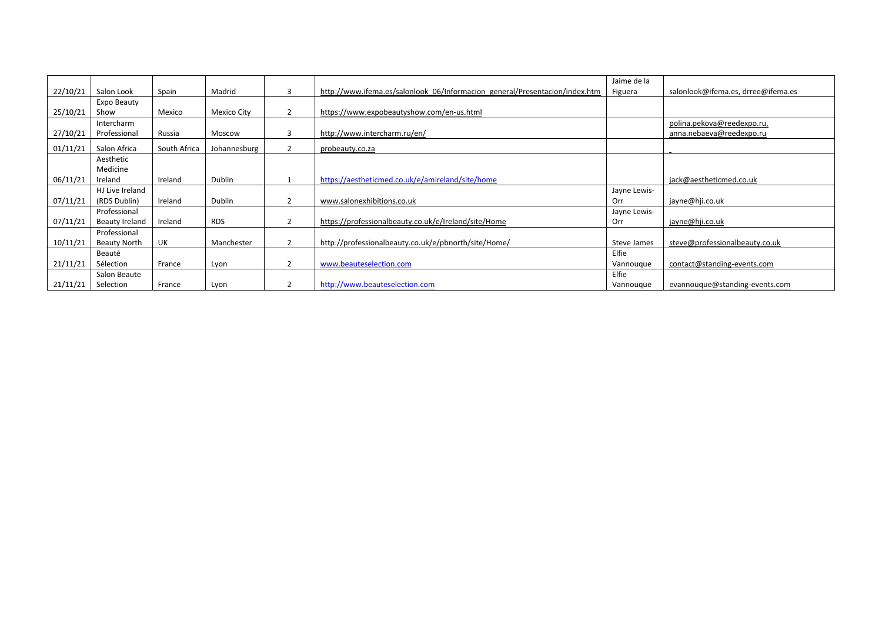|          |                     |              |              |   |                                                                             | Jaime de la  |                                    |
|----------|---------------------|--------------|--------------|---|-----------------------------------------------------------------------------|--------------|------------------------------------|
| 22/10/21 | Salon Look          | Spain        | Madrid       |   | http://www.ifema.es/salonlook 06/Informacion general/Presentacion/index.htm | Figuera      | salonlook@ifema.es, drree@ifema.es |
|          | Expo Beauty         |              |              |   |                                                                             |              |                                    |
| 25/10/21 | Show                | Mexico       | Mexico City  |   | https://www.expobeautyshow.com/en-us.html                                   |              |                                    |
|          | Intercharm          |              |              |   |                                                                             |              | polina.pekova@reedexpo.ru,         |
| 27/10/21 | Professional        | Russia       | Moscow       | 3 | http://www.intercharm.ru/en/                                                |              | anna.nebaeva@reedexpo.ru           |
| 01/11/21 | Salon Africa        | South Africa | Johannesburg |   | probeauty.co.za                                                             |              |                                    |
|          | Aesthetic           |              |              |   |                                                                             |              |                                    |
|          | Medicine            |              |              |   |                                                                             |              |                                    |
| 06/11/21 | Ireland             | Ireland      | Dublin       |   | https://aestheticmed.co.uk/e/amireland/site/home                            |              | jack@aestheticmed.co.uk            |
|          | HJ Live Ireland     |              |              |   |                                                                             | Jayne Lewis- |                                    |
| 07/11/21 | (RDS Dublin)        | Ireland      | Dublin       |   | www.salonexhibitions.co.uk                                                  | Orr          | jayne@hji.co.uk                    |
|          | Professional        |              |              |   |                                                                             | Jayne Lewis- |                                    |
| 07/11/21 | Beauty Ireland      | Ireland      | <b>RDS</b>   |   | https://professionalbeauty.co.uk/e/Ireland/site/Home                        | Orr          | jayne@hji.co.uk                    |
|          | Professional        |              |              |   |                                                                             |              |                                    |
| 10/11/21 | <b>Beauty North</b> | UK           | Manchester   |   | http://professionalbeauty.co.uk/e/pbnorth/site/Home/                        | Steve James  | steve@professionalbeauty.co.uk     |
|          | Beauté              |              |              |   |                                                                             | Elfie        |                                    |
| 21/11/21 | Sélection           | France       | Lyon         | 2 | www.beauteselection.com                                                     | Vannouque    | contact@standing-events.com        |
|          | Salon Beaute        |              |              |   |                                                                             | Elfie        |                                    |
| 21/11/21 | Selection           | France       | Lyon         |   | http://www.beauteselection.com                                              | Vannouque    | evannouque@standing-events.com     |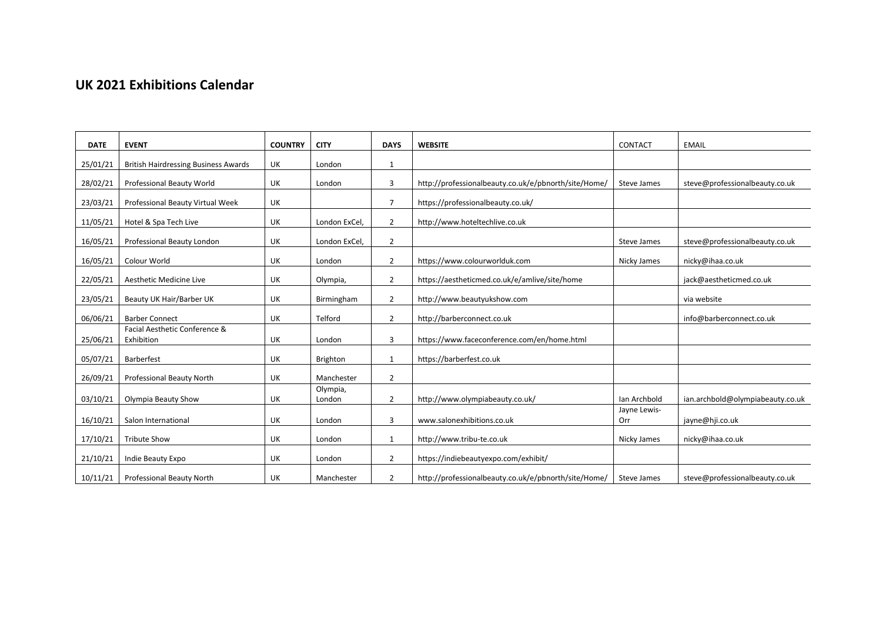# **UK 2021 Exhibitions Calendar**

| <b>DATE</b> | <b>EVENT</b>                                | <b>COUNTRY</b> | <b>CITY</b>        | <b>DAYS</b>    | <b>WEBSITE</b>                                       | CONTACT             | <b>EMAIL</b>                     |
|-------------|---------------------------------------------|----------------|--------------------|----------------|------------------------------------------------------|---------------------|----------------------------------|
| 25/01/21    | <b>British Hairdressing Business Awards</b> | UK             | London             | 1              |                                                      |                     |                                  |
| 28/02/21    | Professional Beauty World                   | UK             | London             | 3              | http://professionalbeauty.co.uk/e/pbnorth/site/Home/ | Steve James         | steve@professionalbeauty.co.uk   |
| 23/03/21    | Professional Beauty Virtual Week            | UK             |                    | $\overline{7}$ | https://professionalbeauty.co.uk/                    |                     |                                  |
| 11/05/21    | Hotel & Spa Tech Live                       | UK             | London ExCel       | $\overline{2}$ | http://www.hoteltechlive.co.uk                       |                     |                                  |
| 16/05/21    | Professional Beauty London                  | UK             | London ExCel       | $\overline{2}$ |                                                      | Steve James         | steve@professionalbeauty.co.uk   |
| 16/05/21    | Colour World                                | UK             | London             | $\overline{2}$ | https://www.colourworlduk.com                        | Nicky James         | nicky@ihaa.co.uk                 |
| 22/05/21    | Aesthetic Medicine Live                     | UK             | Olympia,           | $\overline{2}$ | https://aestheticmed.co.uk/e/amlive/site/home        |                     | jack@aestheticmed.co.uk          |
| 23/05/21    | Beauty UK Hair/Barber UK                    | UK             | Birmingham         | $\overline{2}$ | http://www.beautyukshow.com                          |                     | via website                      |
| 06/06/21    | <b>Barber Connect</b>                       | UK             | Telford            | $\overline{2}$ | http://barberconnect.co.uk                           |                     | info@barberconnect.co.uk         |
| 25/06/21    | Facial Aesthetic Conference &<br>Exhibition | UK             | London             | 3              | https://www.faceconference.com/en/home.html          |                     |                                  |
| 05/07/21    | Barberfest                                  | UK             | Brighton           | $\mathbf{1}$   | https://barberfest.co.uk                             |                     |                                  |
| 26/09/21    | Professional Beauty North                   | UK             | Manchester         | $\overline{2}$ |                                                      |                     |                                  |
| 03/10/21    | Olympia Beauty Show                         | UK             | Olympia,<br>London | $\overline{2}$ | http://www.olympiabeauty.co.uk/                      | Ian Archbold        | ian.archbold@olympiabeauty.co.uk |
| 16/10/21    | Salon International                         | UK             | London             | 3              | www.salonexhibitions.co.uk                           | Jayne Lewis-<br>Orr | jayne@hji.co.uk                  |
| 17/10/21    | <b>Tribute Show</b>                         | UK             | London             | $\mathbf{1}$   | http://www.tribu-te.co.uk                            | Nicky James         | nicky@ihaa.co.uk                 |
| 21/10/21    | Indie Beauty Expo                           | UK             | London             | $\overline{2}$ | https://indiebeautyexpo.com/exhibit/                 |                     |                                  |
| 10/11/21    | Professional Beauty North                   | UK             | Manchester         | $\overline{2}$ | http://professionalbeauty.co.uk/e/pbnorth/site/Home/ | Steve James         | steve@professionalbeauty.co.uk   |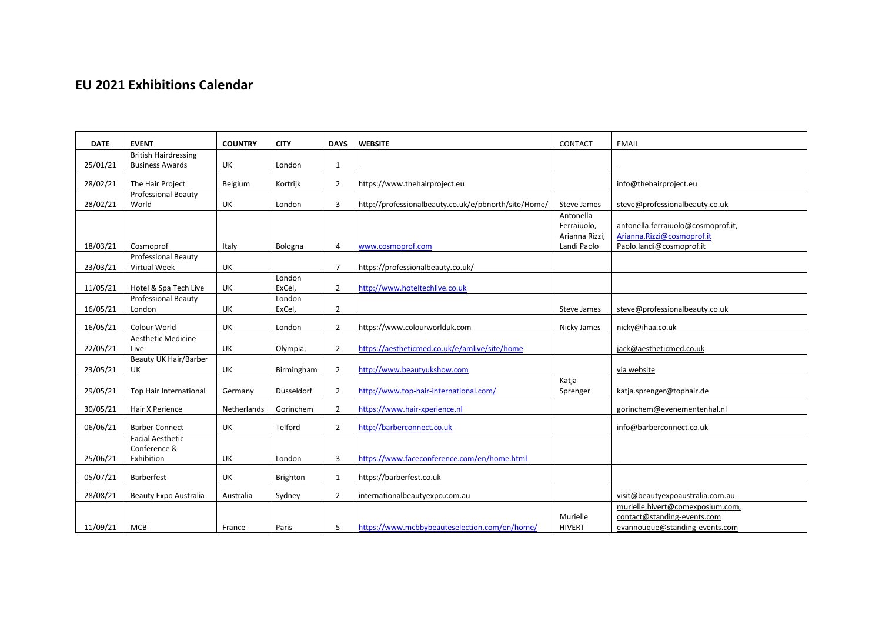# **EU 2021 Exhibitions Calendar**

| <b>DATE</b> | <b>EVENT</b>                                          | <b>COUNTRY</b> | <b>CITY</b>     | <b>DAYS</b>    | <b>WEBSITE</b>                                       | <b>CONTACT</b> | <b>EMAIL</b>                       |
|-------------|-------------------------------------------------------|----------------|-----------------|----------------|------------------------------------------------------|----------------|------------------------------------|
| 25/01/21    | <b>British Hairdressing</b><br><b>Business Awards</b> | UK             |                 |                |                                                      |                |                                    |
|             |                                                       |                | London          | 1              |                                                      |                |                                    |
| 28/02/21    | The Hair Project                                      | Belgium        | Kortrijk        | $\overline{2}$ | https://www.thehairproject.eu                        |                | info@thehairproject.eu             |
|             | <b>Professional Beauty</b>                            |                |                 |                |                                                      |                |                                    |
| 28/02/21    | World                                                 | <b>UK</b>      | London          | 3              | http://professionalbeauty.co.uk/e/pbnorth/site/Home/ | Steve James    | steve@professionalbeauty.co.uk     |
|             |                                                       |                |                 |                |                                                      | Antonella      |                                    |
|             |                                                       |                |                 |                |                                                      | Ferraiuolo,    | antonella.ferraiuolo@cosmoprof.it, |
|             |                                                       |                |                 |                |                                                      | Arianna Rizzi, | Arianna.Rizzi@cosmoprof.it         |
| 18/03/21    | Cosmoprof                                             | Italy          | Bologna         | 4              | www.cosmoprof.com                                    | Landi Paolo    | Paolo.landi@cosmoprof.it           |
|             | <b>Professional Beauty</b>                            |                |                 |                |                                                      |                |                                    |
| 23/03/21    | Virtual Week                                          | <b>UK</b>      |                 | $\overline{7}$ | https://professionalbeauty.co.uk/                    |                |                                    |
|             |                                                       |                | London          |                |                                                      |                |                                    |
| 11/05/21    | Hotel & Spa Tech Live                                 | UK             | ExCel,          | $\overline{2}$ | http://www.hoteltechlive.co.uk                       |                |                                    |
|             | <b>Professional Beauty</b>                            |                | London          |                |                                                      |                |                                    |
| 16/05/21    | London                                                | UK             | ExCel,          | $\overline{2}$ |                                                      | Steve James    | steve@professionalbeauty.co.uk     |
| 16/05/21    | Colour World                                          | UK             | London          | $\overline{2}$ | https://www.colourworlduk.com                        | Nicky James    | nicky@ihaa.co.uk                   |
|             | <b>Aesthetic Medicine</b>                             |                |                 |                |                                                      |                |                                    |
| 22/05/21    | Live                                                  | UK             | Olympia,        | $\overline{2}$ | https://aestheticmed.co.uk/e/amlive/site/home        |                | jack@aestheticmed.co.uk            |
|             | Beauty UK Hair/Barber                                 |                |                 |                |                                                      |                |                                    |
| 23/05/21    | UK                                                    | UK             | Birmingham      | $\overline{2}$ | http://www.beautyukshow.com                          |                | via website                        |
|             |                                                       |                |                 |                |                                                      | Katja          |                                    |
| 29/05/21    | Top Hair International                                | Germany        | Dusseldorf      | $\overline{2}$ | http://www.top-hair-international.com/               | Sprenger       | katja.sprenger@tophair.de          |
| 30/05/21    | Hair X Perience                                       | Netherlands    | Gorinchem       | $\overline{2}$ | https://www.hair-xperience.nl                        |                | gorinchem@evenementenhal.nl        |
|             |                                                       |                |                 |                |                                                      |                |                                    |
| 06/06/21    | <b>Barber Connect</b>                                 | UK             | Telford         | $\overline{2}$ | http://barberconnect.co.uk                           |                | info@barberconnect.co.uk           |
|             | <b>Facial Aesthetic</b>                               |                |                 |                |                                                      |                |                                    |
|             | Conference &<br>Exhibition                            | UK             |                 | 3              | https://www.faceconference.com/en/home.html          |                |                                    |
| 25/06/21    |                                                       |                | London          |                |                                                      |                |                                    |
| 05/07/21    | Barberfest                                            | UK             | <b>Brighton</b> | $\mathbf{1}$   | https://barberfest.co.uk                             |                |                                    |
| 28/08/21    | <b>Beauty Expo Australia</b>                          | Australia      | Sydney          | $\overline{2}$ | internationalbeautyexpo.com.au                       |                | visit@beautyexpoaustralia.com.au   |
|             |                                                       |                |                 |                |                                                      |                | murielle.hivert@comexposium.com,   |
|             |                                                       |                |                 |                |                                                      | Murielle       | contact@standing-events.com        |
| 11/09/21    | <b>MCB</b>                                            | France         | Paris           | 5              | https://www.mcbbybeauteselection.com/en/home/        | <b>HIVERT</b>  | evannouque@standing-events.com     |